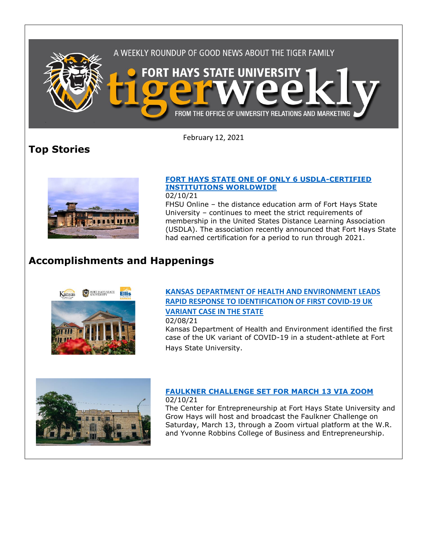

February 12, 2021

# **Top Stories**



### **[FORT HAYS STATE ONE OF ONLY 6 USDLA-CERTIFIED](https://fhsu.edu/news/2021/02/fort-hays-state-one-of-only-6-usdla-certified-institutions-worldwide)  [INSTITUTIONS WORLDWIDE](https://fhsu.edu/news/2021/02/fort-hays-state-one-of-only-6-usdla-certified-institutions-worldwide)**

02/10/21

FHSU Online – the distance education arm of Fort Hays State University – continues to meet the strict requirements of membership in the United States Distance Learning Association (USDLA). The association recently announced that Fort Hays State had earned certification for a period to run through 2021.

# **Accomplishments and Happenings**



### **KANSAS [DEPARTMENT OF HEALTH AND ENVIRONMENT LEADS](https://fhsu.edu/news/2021/02/kansas-department-of-health-and-environment-leads-rapid-response-to-identification-of-first-covid-19-uk-variant-case-in-the-state)  [RAPID RESPONSE TO IDENTIFICATION OF FIRST COVID-19 UK](https://fhsu.edu/news/2021/02/kansas-department-of-health-and-environment-leads-rapid-response-to-identification-of-first-covid-19-uk-variant-case-in-the-state)  [VARIANT CASE IN THE STATE](https://fhsu.edu/news/2021/02/kansas-department-of-health-and-environment-leads-rapid-response-to-identification-of-first-covid-19-uk-variant-case-in-the-state)** 02/08/21

Kansas Department of Health and Environment identified the first case of the UK variant of COVID-19 in a student-athlete at Fort Hays State University.



#### **[FAULKNER CHALLENGE SET FOR MARCH 13 VIA ZOOM](https://fhsu.edu/news/2021/02/faulkner-challenge-set-for-march-13-via-zoom)** 02/10/21

The Center for Entrepreneurship at Fort Hays State University and Grow Hays will host and broadcast the Faulkner Challenge on Saturday, March 13, through a Zoom virtual platform at the W.R. and Yvonne Robbins College of Business and Entrepreneurship.